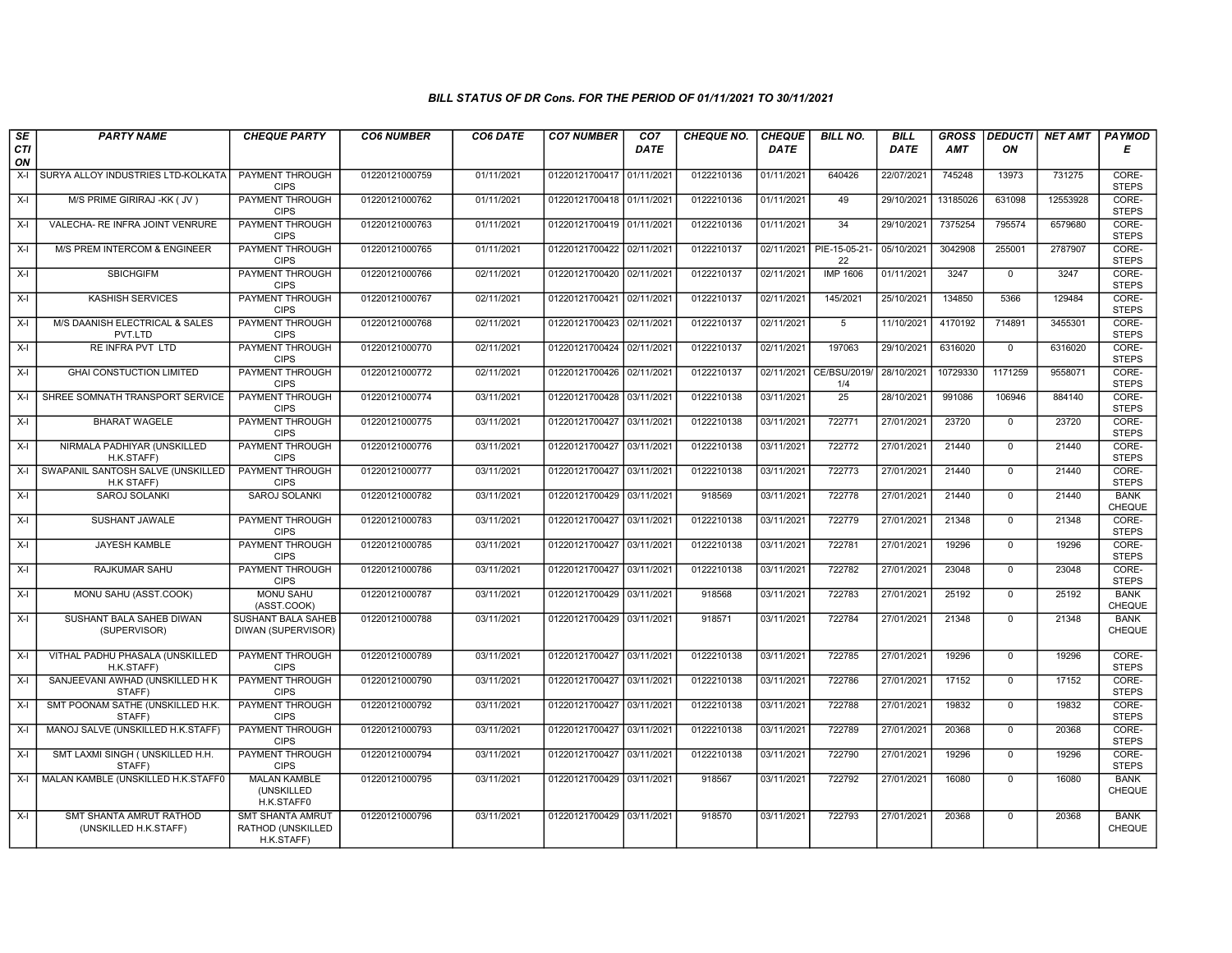| SE        | <b>PARTY NAME</b>                                | <b>CHEQUE PARTY</b>                                        | <b>CO6 NUMBER</b> | CO6 DATE   | <b>CO7 NUMBER</b>         | CO <sub>7</sub> | <b>CHEQUE NO.</b> | <b>CHEQUE</b> | <b>BILL NO.</b>                | <b>BILL</b> | <b>GROSS</b> |                | <b>DEDUCTI NET AMT</b> | <b>PAYMOD</b>                |
|-----------|--------------------------------------------------|------------------------------------------------------------|-------------------|------------|---------------------------|-----------------|-------------------|---------------|--------------------------------|-------------|--------------|----------------|------------------------|------------------------------|
| CTI<br>ON |                                                  |                                                            |                   |            |                           | <b>DATE</b>     |                   | <b>DATE</b>   |                                | DATE        | <b>AMT</b>   | ON             |                        | Е                            |
| $X-I$     | SURYA ALLOY INDUSTRIES LTD-KOLKATA               | <b>PAYMENT THROUGH</b><br><b>CIPS</b>                      | 01220121000759    | 01/11/2021 | 01220121700417 01/11/2021 |                 | 0122210136        | 01/11/2021    | 640426                         | 22/07/2021  | 745248       | 13973          | 731275                 | CORE-<br><b>STEPS</b>        |
| X-I       | M/S PRIME GIRIRAJ -KK (JV)                       | <b>PAYMENT THROUGH</b><br><b>CIPS</b>                      | 01220121000762    | 01/11/2021 | 01220121700418 01/11/2021 |                 | 0122210136        | 01/11/2021    | 49                             | 29/10/2021  | 13185026     | 631098         | 12553928               | CORE-<br><b>STEPS</b>        |
| $X-I$     | VALECHA- RE INFRA JOINT VENRURE                  | PAYMENT THROUGH<br><b>CIPS</b>                             | 01220121000763    | 01/11/2021 | 01220121700419 01/11/2021 |                 | 0122210136        | 01/11/2021    | 34                             | 29/10/2021  | 7375254      | 795574         | 6579680                | CORE-<br><b>STEPS</b>        |
| $X-I$     | M/S PREM INTERCOM & ENGINEER                     | PAYMENT THROUGH<br><b>CIPS</b>                             | 01220121000765    | 01/11/2021 | 01220121700422 02/11/2021 |                 | 0122210137        | 02/11/2021    | PIE-15-05-21-<br>22            | 05/10/2021  | 3042908      | 255001         | 2787907                | CORE-<br><b>STEPS</b>        |
| $X-I$     | <b>SBICHGIFM</b>                                 | PAYMENT THROUGH<br><b>CIPS</b>                             | 01220121000766    | 02/11/2021 | 01220121700420 02/11/2021 |                 | 0122210137        | 02/11/2021    | <b>IMP 1606</b>                | 01/11/2021  | 3247         | $\mathbf 0$    | 3247                   | CORE-<br><b>STEPS</b>        |
| $X-I$     | <b>KASHISH SERVICES</b>                          | PAYMENT THROUGH<br><b>CIPS</b>                             | 01220121000767    | 02/11/2021 | 01220121700421            | 02/11/2021      | 0122210137        | 02/11/2021    | 145/2021                       | 25/10/2021  | 134850       | 5366           | 129484                 | CORE-<br><b>STEPS</b>        |
| $X-I$     | M/S DAANISH ELECTRICAL & SALES<br>PVT.LTD        | PAYMENT THROUGH<br><b>CIPS</b>                             | 01220121000768    | 02/11/2021 | 01220121700423            | 02/11/2021      | 0122210137        | 02/11/2021    | 5                              | 11/10/2021  | 4170192      | 714891         | 3455301                | CORE-<br><b>STEPS</b>        |
| X-I       | RE INFRA PVT LTD                                 | PAYMENT THROUGH<br><b>CIPS</b>                             | 01220121000770    | 02/11/2021 | 01220121700424 02/11/2021 |                 | 0122210137        | 02/11/2021    | 197063                         | 29/10/2021  | 6316020      | $\Omega$       | 6316020                | CORE-<br><b>STEPS</b>        |
| $X-I$     | <b>GHAI CONSTUCTION LIMITED</b>                  | <b>PAYMENT THROUGH</b><br><b>CIPS</b>                      | 01220121000772    | 02/11/2021 | 01220121700426 02/11/2021 |                 | 0122210137        |               | 02/11/2021 CE/BSU/2019/<br>1/4 | 28/10/2021  | 10729330     | 1171259        | 9558071                | CORE-<br><b>STEPS</b>        |
| X-I       | SHREE SOMNATH TRANSPORT SERVICE                  | <b>PAYMENT THROUGH</b><br><b>CIPS</b>                      | 01220121000774    | 03/11/2021 | 01220121700428 03/11/2021 |                 | 0122210138        | 03/11/2021    | $\overline{25}$                | 28/10/2021  | 991086       | 106946         | 884140                 | CORE-<br><b>STEPS</b>        |
| $X-I$     | <b>BHARAT WAGELE</b>                             | PAYMENT THROUGH<br><b>CIPS</b>                             | 01220121000775    | 03/11/2021 | 01220121700427 03/11/2021 |                 | 0122210138        | 03/11/2021    | 722771                         | 27/01/2021  | 23720        | $\mathbf 0$    | 23720                  | CORE-<br><b>STEPS</b>        |
| X-I       | NIRMALA PADHIYAR (UNSKILLED<br>H.K.STAFF)        | PAYMENT THROUGH<br><b>CIPS</b>                             | 01220121000776    | 03/11/2021 | 01220121700427 03/11/2021 |                 | 0122210138        | 03/11/2021    | 722772                         | 27/01/2021  | 21440        | $\mathbf 0$    | 21440                  | CORE-<br><b>STEPS</b>        |
| $X-I$     | SWAPANIL SANTOSH SALVE (UNSKILLED<br>H.K STAFF)  | <b>PAYMENT THROUGH</b><br><b>CIPS</b>                      | 01220121000777    | 03/11/2021 | 01220121700427            | 03/11/2021      | 0122210138        | 03/11/2021    | 722773                         | 27/01/2021  | 21440        | $\mathbf 0$    | 21440                  | CORE-<br><b>STEPS</b>        |
| $X-I$     | <b>SAROJ SOLANKI</b>                             | <b>SAROJ SOLANKI</b>                                       | 01220121000782    | 03/11/2021 | 01220121700429 03/11/2021 |                 | 918569            | 03/11/2021    | 722778                         | 27/01/2021  | 21440        | $\mathbf 0$    | 21440                  | <b>BANK</b><br>CHEQUE        |
| $X-I$     | SUSHANT JAWALE                                   | PAYMENT THROUGH<br><b>CIPS</b>                             | 01220121000783    | 03/11/2021 | 01220121700427 03/11/2021 |                 | 0122210138        | 03/11/2021    | 722779                         | 27/01/2021  | 21348        | $\Omega$       | 21348                  | CORE-<br><b>STEPS</b>        |
| $X-I$     | <b>JAYESH KAMBLE</b>                             | PAYMENT THROUGH<br><b>CIPS</b>                             | 01220121000785    | 03/11/2021 | 01220121700427 03/11/2021 |                 | 0122210138        | 03/11/2021    | 722781                         | 27/01/2021  | 19296        | $\Omega$       | 19296                  | CORE-<br><b>STEPS</b>        |
| $X-I$     | <b>RAJKUMAR SAHU</b>                             | PAYMENT THROUGH<br><b>CIPS</b>                             | 01220121000786    | 03/11/2021 | 01220121700427 03/11/2021 |                 | 0122210138        | 03/11/2021    | 722782                         | 27/01/2021  | 23048        | $\Omega$       | 23048                  | CORE-<br><b>STEPS</b>        |
| $X-I$     | MONU SAHU (ASST.COOK)                            | <b>MONU SAHU</b><br>(ASST.COOK)                            | 01220121000787    | 03/11/2021 | 01220121700429 03/11/2021 |                 | 918568            | 03/11/2021    | 722783                         | 27/01/2021  | 25192        | $\mathbf{0}$   | 25192                  | <b>BANK</b><br>CHEQUE        |
| $X-I$     | SUSHANT BALA SAHEB DIWAN<br>(SUPERVISOR)         | <b>SUSHANT BALA SAHEB</b><br>DIWAN (SUPERVISOR)            | 01220121000788    | 03/11/2021 | 01220121700429 03/11/2021 |                 | 918571            | 03/11/2021    | 722784                         | 27/01/2021  | 21348        | $\mathbf 0$    | 21348                  | <b>BANK</b><br><b>CHEQUE</b> |
| $X-I$     | VITHAL PADHU PHASALA (UNSKILLED<br>H.K.STAFF)    | PAYMENT THROUGH<br><b>CIPS</b>                             | 01220121000789    | 03/11/2021 | 01220121700427 03/11/2021 |                 | 0122210138        | 03/11/2021    | 722785                         | 27/01/2021  | 19296        | $\mathbf{0}$   | 19296                  | CORE-<br><b>STEPS</b>        |
| $X-I$     | SANJEEVANI AWHAD (UNSKILLED H K<br>STAFF)        | PAYMENT THROUGH<br><b>CIPS</b>                             | 01220121000790    | 03/11/2021 | 01220121700427 03/11/2021 |                 | 0122210138        | 03/11/2021    | 722786                         | 27/01/2021  | 17152        | $\Omega$       | 17152                  | CORE-<br><b>STEPS</b>        |
| $X-I$     | SMT POONAM SATHE (UNSKILLED H.K.<br>STAFF)       | PAYMENT THROUGH<br><b>CIPS</b>                             | 01220121000792    | 03/11/2021 | 01220121700427 03/11/2021 |                 | 0122210138        | 03/11/2021    | 722788                         | 27/01/2021  | 19832        | $\Omega$       | 19832                  | CORE-<br><b>STEPS</b>        |
| $X-I$     | MANOJ SALVE (UNSKILLED H.K.STAFF)                | PAYMENT THROUGH<br><b>CIPS</b>                             | 01220121000793    | 03/11/2021 | 01220121700427 03/11/2021 |                 | 0122210138        | 03/11/2021    | 722789                         | 27/01/2021  | 20368        | $\mathsf{O}$   | 20368                  | CORE-<br><b>STEPS</b>        |
| $X-I$     | SMT LAXMI SINGH ( UNSKILLED H.H.<br>STAFF)       | <b>PAYMENT THROUGH</b><br><b>CIPS</b>                      | 01220121000794    | 03/11/2021 | 01220121700427 03/11/2021 |                 | 0122210138        | 03/11/2021    | 722790                         | 27/01/2021  | 19296        | $\overline{0}$ | 19296                  | CORE-<br><b>STEPS</b>        |
| X-I       | MALAN KAMBLE (UNSKILLED H.K.STAFF0               | <b>MALAN KAMBLE</b><br>(UNSKILLED<br>H.K.STAFF0            | 01220121000795    | 03/11/2021 | 01220121700429 03/11/2021 |                 | 918567            | 03/11/2021    | 722792                         | 27/01/2021  | 16080        | $\mathbf 0$    | 16080                  | <b>BANK</b><br><b>CHEQUE</b> |
| $X-I$     | SMT SHANTA AMRUT RATHOD<br>(UNSKILLED H.K.STAFF) | <b>SMT SHANTA AMRUT</b><br>RATHOD (UNSKILLED<br>H.K.STAFF) | 01220121000796    | 03/11/2021 | 01220121700429 03/11/2021 |                 | 918570            | 03/11/2021    | 722793                         | 27/01/2021  | 20368        | $\mathbf 0$    | 20368                  | <b>BANK</b><br><b>CHEQUE</b> |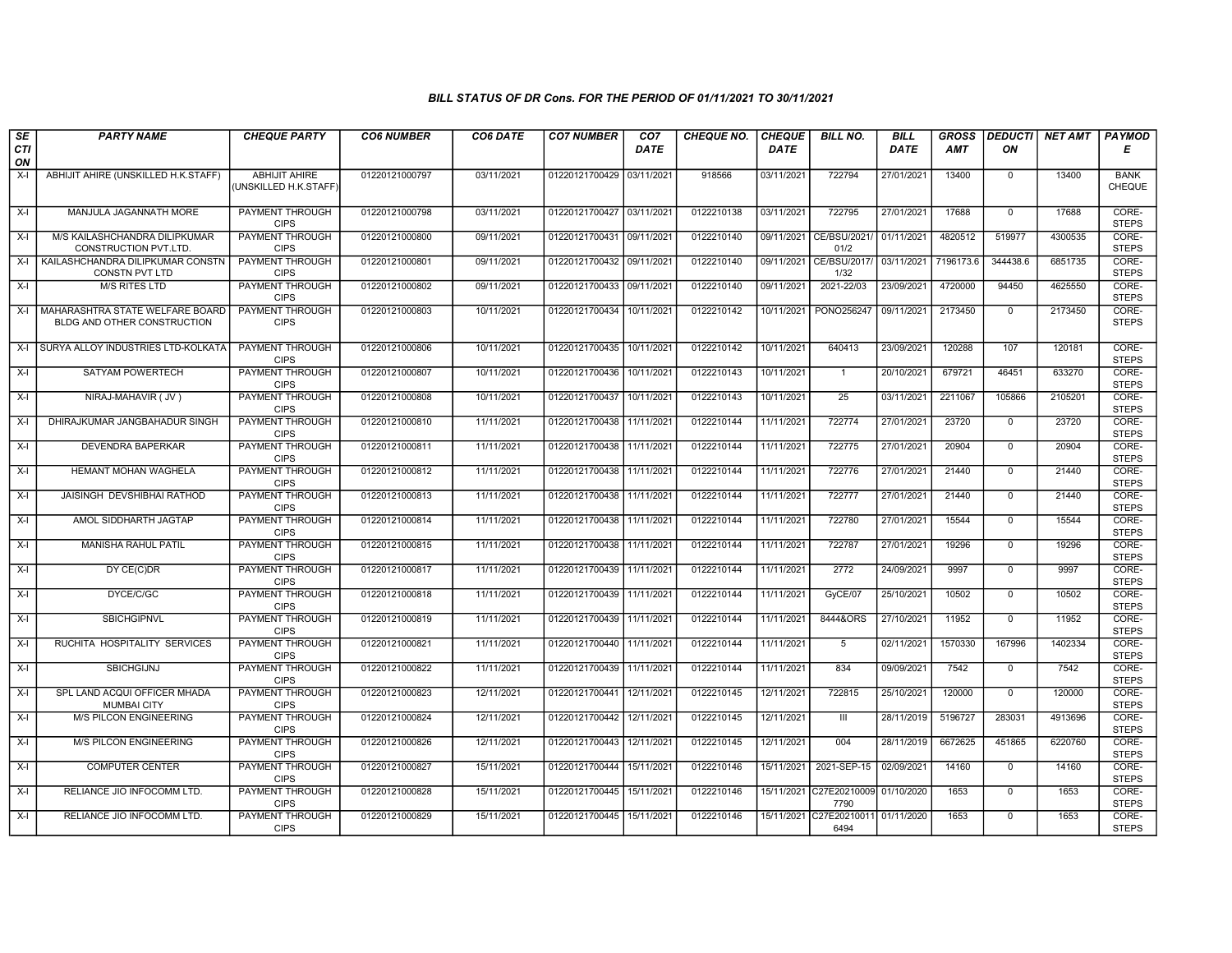| SE        | <b>PARTY NAME</b>                                                    | <b>CHEQUE PARTY</b>                           | <b>CO6 NUMBER</b> | CO6 DATE   | <b>CO7 NUMBER</b>         | CO <sub>7</sub> | <b>CHEQUE NO.</b> | <b>CHEQUE</b> | <b>BILL NO.</b>                            | <b>BILL</b> | <b>GROSS</b> | <b>DEDUCTI</b> | NET AMT | <b>PAYMOD</b>                |
|-----------|----------------------------------------------------------------------|-----------------------------------------------|-------------------|------------|---------------------------|-----------------|-------------------|---------------|--------------------------------------------|-------------|--------------|----------------|---------|------------------------------|
| CTI<br>ON |                                                                      |                                               |                   |            |                           | <b>DATE</b>     |                   | <b>DATE</b>   |                                            | <b>DATE</b> | <b>AMT</b>   | ΟN             |         | Е                            |
| $X-I$     | ABHIJIT AHIRE (UNSKILLED H.K.STAFF)                                  | <b>ABHIJIT AHIRE</b><br>(UNSKILLED H.K.STAFF) | 01220121000797    | 03/11/2021 | 01220121700429 03/11/2021 |                 | 918566            | 03/11/2021    | 722794                                     | 27/01/2021  | 13400        | $\mathsf{O}$   | 13400   | <b>BANK</b><br><b>CHEQUE</b> |
| $X-I$     | MANJULA JAGANNATH MORE                                               | PAYMENT THROUGH<br><b>CIPS</b>                | 01220121000798    | 03/11/2021 | 01220121700427 03/11/2021 |                 | 0122210138        | 03/11/2021    | 722795                                     | 27/01/2021  | 17688        | $\overline{0}$ | 17688   | CORE-<br><b>STEPS</b>        |
| $X-I$     | M/S KAILASHCHANDRA DILIPKUMAR<br>CONSTRUCTION PVT.LTD.               | PAYMENT THROUGH<br><b>CIPS</b>                | 01220121000800    | 09/11/2021 | 01220121700431 09/11/2021 |                 | 0122210140        |               | 09/11/2021 CE/BSU/2021/<br>01/2            | 01/11/2021  | 4820512      | 519977         | 4300535 | CORE-<br><b>STEPS</b>        |
| $X-I$     | KAILASHCHANDRA DILIPKUMAR CONSTN<br><b>CONSTN PVT LTD</b>            | <b>PAYMENT THROUGH</b><br><b>CIPS</b>         | 01220121000801    | 09/11/2021 | 01220121700432 09/11/2021 |                 | 0122210140        | 09/11/2021    | CE/BSU/2017/ 03/11/2021<br>1/32            |             | 7196173.6    | 344438.6       | 6851735 | CORE-<br><b>STEPS</b>        |
| $X-I$     | <b>M/S RITES LTD</b>                                                 | PAYMENT THROUGH<br><b>CIPS</b>                | 01220121000802    | 09/11/2021 | 01220121700433 09/11/2021 |                 | 0122210140        | 09/11/2021    | 2021-22/03                                 | 23/09/2021  | 4720000      | 94450          | 4625550 | CORE-<br><b>STEPS</b>        |
|           | X-I   MAHARASHTRA STATE WELFARE BOARD<br>BLDG AND OTHER CONSTRUCTION | PAYMENT THROUGH<br><b>CIPS</b>                | 01220121000803    | 10/11/2021 | 01220121700434 10/11/2021 |                 | 0122210142        | 10/11/2021    | PONO256247                                 | 09/11/2021  | 2173450      | $\mathbf 0$    | 2173450 | CORE-<br><b>STEPS</b>        |
| $X-I$     | SURYA ALLOY INDUSTRIES LTD-KOLKATA                                   | PAYMENT THROUGH<br><b>CIPS</b>                | 01220121000806    | 10/11/2021 | 01220121700435 10/11/202  |                 | 0122210142        | 10/11/2021    | 640413                                     | 23/09/2021  | 120288       | 107            | 120181  | CORE-<br><b>STEPS</b>        |
| X-I       | SATYAM POWERTECH                                                     | <b>PAYMENT THROUGH</b><br><b>CIPS</b>         | 01220121000807    | 10/11/2021 | 01220121700436 10/11/2021 |                 | 0122210143        | 10/11/2021    | $\overline{1}$                             | 20/10/2021  | 679721       | 46451          | 633270  | CORE-<br><b>STEPS</b>        |
| $X-I$     | NIRAJ-MAHAVIR (JV)                                                   | <b>PAYMENT THROUGH</b><br><b>CIPS</b>         | 01220121000808    | 10/11/2021 | 01220121700437 10/11/2021 |                 | 0122210143        | 10/11/2021    | 25                                         | 03/11/2021  | 2211067      | 105866         | 2105201 | CORE-<br><b>STEPS</b>        |
| X-I       | DHIRAJKUMAR JANGBAHADUR SINGH                                        | <b>PAYMENT THROUGH</b><br><b>CIPS</b>         | 01220121000810    | 11/11/2021 | 01220121700438 11/11/2021 |                 | 0122210144        | 11/11/2021    | 722774                                     | 27/01/2021  | 23720        | $\mathbf 0$    | 23720   | CORE-<br><b>STEPS</b>        |
| $X-I$     | DEVENDRA BAPERKAR                                                    | PAYMENT THROUGH<br><b>CIPS</b>                | 01220121000811    | 11/11/2021 | 01220121700438 11/11/2021 |                 | 0122210144        | 11/11/2021    | 722775                                     | 27/01/2021  | 20904        | $\mathbf{0}$   | 20904   | CORE-<br><b>STEPS</b>        |
| $X-I$     | <b>HEMANT MOHAN WAGHELA</b>                                          | PAYMENT THROUGH<br><b>CIPS</b>                | 01220121000812    | 11/11/2021 | 01220121700438 11/11/2021 |                 | 0122210144        | 11/11/2021    | 722776                                     | 27/01/2021  | 21440        | $\Omega$       | 21440   | CORE-<br><b>STEPS</b>        |
| $X-I$     | JAISINGH DEVSHIBHAI RATHOD                                           | PAYMENT THROUGH<br><b>CIPS</b>                | 01220121000813    | 11/11/2021 | 01220121700438 11/11/2021 |                 | 0122210144        | 11/11/2021    | 722777                                     | 27/01/2021  | 21440        | $\mathbf 0$    | 21440   | CORE-<br><b>STEPS</b>        |
| $X-I$     | AMOL SIDDHARTH JAGTAP                                                | <b>PAYMENT THROUGH</b><br><b>CIPS</b>         | 01220121000814    | 11/11/2021 | 01220121700438 11/11/2021 |                 | 0122210144        | 11/11/2021    | 722780                                     | 27/01/2021  | 15544        | $\overline{0}$ | 15544   | CORE-<br><b>STEPS</b>        |
| $X-I$     | MANISHA RAHUL PATIL                                                  | <b>PAYMENT THROUGH</b><br><b>CIPS</b>         | 01220121000815    | 11/11/2021 | 01220121700438 11/11/2021 |                 | 0122210144        | 11/11/2021    | 722787                                     | 27/01/2021  | 19296        | $\mathbf 0$    | 19296   | CORE-<br><b>STEPS</b>        |
| $X-I$     | DY CE(C)DR                                                           | PAYMENT THROUGH<br><b>CIPS</b>                | 01220121000817    | 11/11/2021 | 01220121700439 11/11/2021 |                 | 0122210144        | 11/11/2021    | 2772                                       | 24/09/2021  | 9997         | $\mathbf 0$    | 9997    | CORE-<br><b>STEPS</b>        |
| $X-I$     | DYCE/C/GC                                                            | PAYMENT THROUGH<br><b>CIPS</b>                | 01220121000818    | 11/11/2021 | 01220121700439 11/11/2021 |                 | 0122210144        | 11/11/2021    | GyCE/07                                    | 25/10/2021  | 10502        | $\mathbf 0$    | 10502   | CORE-<br><b>STEPS</b>        |
| $X-I$     | <b>SBICHGIPNVL</b>                                                   | <b>PAYMENT THROUGH</b><br><b>CIPS</b>         | 01220121000819    | 11/11/2021 | 01220121700439 11/11/2021 |                 | 0122210144        | 11/11/2021    | 8444&ORS                                   | 27/10/2021  | 11952        | $\overline{0}$ | 11952   | CORE-<br><b>STEPS</b>        |
| $X-I$     | RUCHITA HOSPITALITY SERVICES                                         | PAYMENT THROUGH<br><b>CIPS</b>                | 01220121000821    | 11/11/2021 | 01220121700440 11/11/2021 |                 | 0122210144        | 11/11/2021    | 5                                          | 02/11/2021  | 1570330      | 167996         | 1402334 | CORE-<br><b>STEPS</b>        |
| X-I       | SBICHGIJNJ                                                           | PAYMENT THROUGH<br><b>CIPS</b>                | 01220121000822    | 11/11/2021 | 01220121700439 11/11/2021 |                 | 0122210144        | 11/11/2021    | 834                                        | 09/09/2021  | 7542         | $\mathbf 0$    | 7542    | CORE-<br><b>STEPS</b>        |
| $X-I$     | SPL LAND ACQUI OFFICER MHADA<br><b>MUMBAI CITY</b>                   | PAYMENT THROUGH<br><b>CIPS</b>                | 01220121000823    | 12/11/2021 | 01220121700441 12/11/2021 |                 | 0122210145        | 12/11/2021    | 722815                                     | 25/10/2021  | 120000       | $\Omega$       | 120000  | CORE-<br><b>STEPS</b>        |
| X-I       | M/S PILCON ENGINEERING                                               | <b>PAYMENT THROUGH</b><br><b>CIPS</b>         | 01220121000824    | 12/11/2021 | 01220121700442 12/11/2021 |                 | 0122210145        | 12/11/2021    | Ш                                          | 28/11/2019  | 5196727      | 283031         | 4913696 | CORE-<br><b>STEPS</b>        |
| $X-I$     | <b>M/S PILCON ENGINEERING</b>                                        | PAYMENT THROUGH<br><b>CIPS</b>                | 01220121000826    | 12/11/2021 | 01220121700443 12/11/2021 |                 | 0122210145        | 12/11/2021    | 004                                        | 28/11/2019  | 6672625      | 451865         | 6220760 | CORE-<br><b>STEPS</b>        |
| $X-I$     | <b>COMPUTER CENTER</b>                                               | <b>PAYMENT THROUGH</b><br><b>CIPS</b>         | 01220121000827    | 15/11/2021 | 01220121700444 15/11/2021 |                 | 0122210146        | 15/11/2021    | 2021-SEP-15                                | 02/09/2021  | 14160        | $\mathbf 0$    | 14160   | CORE-<br><b>STEPS</b>        |
| $X-I$     | RELIANCE JIO INFOCOMM LTD.                                           | PAYMENT THROUGH<br><b>CIPS</b>                | 01220121000828    | 15/11/2021 | 01220121700445 15/11/2021 |                 | 0122210146        |               | 15/11/2021 C27E20210009<br>7790            | 01/10/2020  | 1653         | $\mathbf 0$    | 1653    | CORE-<br><b>STEPS</b>        |
| $X-I$     | RELIANCE JIO INFOCOMM LTD.                                           | PAYMENT THROUGH<br><b>CIPS</b>                | 01220121000829    | 15/11/2021 | 01220121700445 15/11/2021 |                 | 0122210146        |               | 15/11/2021 C27E20210011 01/11/2020<br>6494 |             | 1653         | $\mathbf{0}$   | 1653    | CORE-<br><b>STEPS</b>        |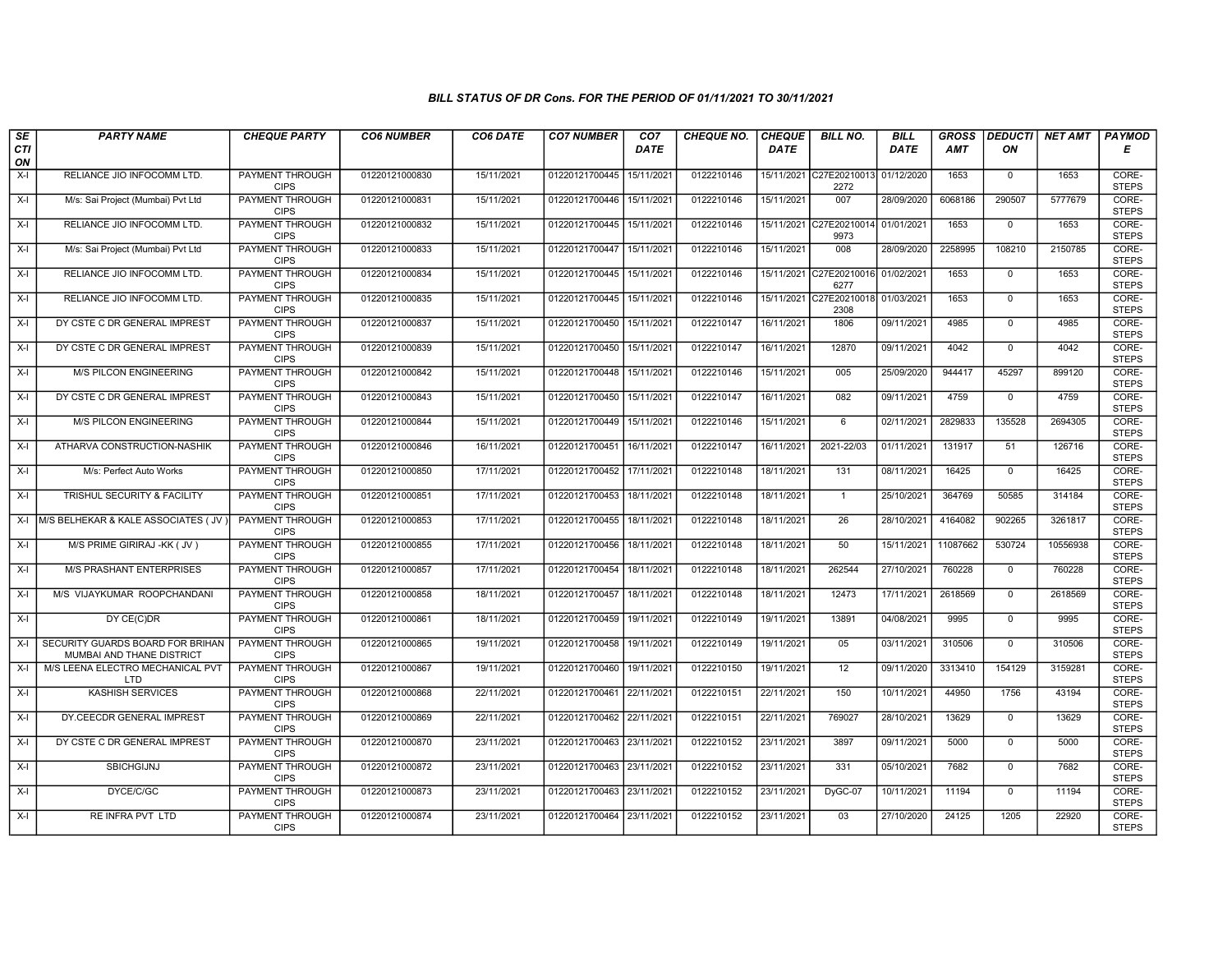| SE               | <b>PARTY NAME</b>                                             | <b>CHEQUE PARTY</b>                   | <b>CO6 NUMBER</b> | CO6 DATE   | <b>CO7 NUMBER</b>         | CO <sub>7</sub>        | CHEQUE NO. | <b>CHEQUE</b> | <b>BILL NO.</b>                 | <b>BILL</b> | <b>GROSS</b> | <b>DEDUCTI</b> | NET AMT  | <b>PAYMOD</b>         |
|------------------|---------------------------------------------------------------|---------------------------------------|-------------------|------------|---------------------------|------------------------|------------|---------------|---------------------------------|-------------|--------------|----------------|----------|-----------------------|
| <b>CTI</b><br>ON |                                                               |                                       |                   |            |                           | <b>DATE</b>            |            | <b>DATE</b>   |                                 | <b>DATE</b> | <b>AMT</b>   | ΟN             |          | Е                     |
| $X-I$            | RELIANCE JIO INFOCOMM LTD.                                    | <b>PAYMENT THROUGH</b><br><b>CIPS</b> | 01220121000830    | 15/11/2021 | 01220121700445            | 15/11/2021             | 0122210146 |               | 15/11/2021 C27E20210013<br>2272 | 01/12/2020  | 1653         | $\mathbf 0$    | 1653     | CORE-<br><b>STEPS</b> |
| $X-I$            | M/s: Sai Project (Mumbai) Pvt Ltd                             | PAYMENT THROUGH<br><b>CIPS</b>        | 01220121000831    | 15/11/2021 | 01220121700446            | 15/11/2021             | 0122210146 | 15/11/2021    | 007                             | 28/09/2020  | 6068186      | 290507         | 5777679  | CORE-<br><b>STEPS</b> |
| X-I              | RELIANCE JIO INFOCOMM LTD.                                    | PAYMENT THROUGH<br><b>CIPS</b>        | 01220121000832    | 15/11/2021 | 01220121700445            | 15/11/202              | 0122210146 | 15/11/2021    | C27E20210014<br>9973            | 01/01/2021  | 1653         | $\mathbf 0$    | 1653     | CORE-<br><b>STEPS</b> |
| $X-I$            | M/s: Sai Project (Mumbai) Pvt Ltd                             | PAYMENT THROUGH<br><b>CIPS</b>        | 01220121000833    | 15/11/2021 | 01220121700447            | 15/11/2021             | 0122210146 | 15/11/2021    | 008                             | 28/09/2020  | 2258995      | 108210         | 2150785  | CORE-<br><b>STEPS</b> |
| $X-I$            | RELIANCE JIO INFOCOMM LTD.                                    | <b>PAYMENT THROUGH</b><br><b>CIPS</b> | 01220121000834    | 15/11/2021 | 01220121700445            | 15/11/2021             | 0122210146 | 15/11/2021    | C27E20210016<br>6277            | 01/02/2021  | 1653         | $\mathbf 0$    | 1653     | CORE-<br><b>STEPS</b> |
| $X-I$            | RELIANCE JIO INFOCOMM LTD.                                    | <b>PAYMENT THROUGH</b><br><b>CIPS</b> | 01220121000835    | 15/11/2021 | 01220121700445            | 15/11/2021             | 0122210146 | 15/11/2021    | C27E20210018<br>2308            | 01/03/2021  | 1653         | $\overline{0}$ | 1653     | CORE-<br><b>STEPS</b> |
| $X-I$            | DY CSTE C DR GENERAL IMPREST                                  | PAYMENT THROUGH<br><b>CIPS</b>        | 01220121000837    | 15/11/2021 | 01220121700450            | 15/11/2021             | 0122210147 | 16/11/2021    | 1806                            | 09/11/2021  | 4985         | $\mathbf{0}$   | 4985     | CORE-<br><b>STEPS</b> |
| $X-I$            | DY CSTE C DR GENERAL IMPREST                                  | <b>PAYMENT THROUGH</b><br><b>CIPS</b> | 01220121000839    | 15/11/2021 | 01220121700450            | 15/11/2021             | 0122210147 | 16/11/2021    | 12870                           | 09/11/2021  | 4042         | $\overline{0}$ | 4042     | CORE-<br><b>STEPS</b> |
| X-I              | <b>M/S PILCON ENGINEERING</b>                                 | PAYMENT THROUGH<br><b>CIPS</b>        | 01220121000842    | 15/11/2021 | 01220121700448            | 15/11/2021             | 0122210146 | 15/11/2021    | 005                             | 25/09/2020  | 944417       | 45297          | 899120   | CORE-<br><b>STEPS</b> |
| X-I              | DY CSTE C DR GENERAL IMPREST                                  | <b>PAYMENT THROUGH</b><br><b>CIPS</b> | 01220121000843    | 15/11/2021 | 01220121700450 15/11/2021 |                        | 0122210147 | 16/11/2021    | 082                             | 09/11/2021  | 4759         | $\mathbf{0}$   | 4759     | CORE-<br><b>STEPS</b> |
| $X-I$            | M/S PILCON ENGINEERING                                        | PAYMENT THROUGH<br><b>CIPS</b>        | 01220121000844    | 15/11/2021 | 01220121700449            | 15/11/2021             | 0122210146 | 15/11/2021    | 6                               | 02/11/2021  | 2829833      | 135528         | 2694305  | CORE-<br><b>STEPS</b> |
| X-I              | ATHARVA CONSTRUCTION-NASHIK                                   | PAYMENT THROUGH<br><b>CIPS</b>        | 01220121000846    | 16/11/2021 | 01220121700451            | 16/11/2021             | 0122210147 | 16/11/2021    | 2021-22/03                      | 01/11/2021  | 131917       | 51             | 126716   | CORE-<br><b>STEPS</b> |
| $X-I$            | M/s: Perfect Auto Works                                       | <b>PAYMENT THROUGH</b><br><b>CIPS</b> | 01220121000850    | 17/11/2021 | 01220121700452            | 17/11/2021             | 0122210148 | 18/11/2021    | $131$                           | 08/11/2021  | 16425        | $\overline{0}$ | 16425    | CORE-<br><b>STEPS</b> |
| X-I              | TRISHUL SECURITY & FACILITY                                   | PAYMENT THROUGH<br><b>CIPS</b>        | 01220121000851    | 17/11/2021 | 01220121700453            | 18/11/2021             | 0122210148 | 18/11/2021    | $\mathbf{1}$                    | 25/10/2021  | 364769       | 50585          | 314184   | CORE-<br><b>STEPS</b> |
|                  | X-I M/S BELHEKAR & KALE ASSOCIATES (JV                        | PAYMENT THROUGH<br><b>CIPS</b>        | 01220121000853    | 17/11/2021 | 01220121700455            | 18/11/2021             | 0122210148 | 18/11/2021    | $\overline{26}$                 | 28/10/2021  | 4164082      | 902265         | 3261817  | CORE-<br><b>STEPS</b> |
| X-I              | M/S PRIME GIRIRAJ - KK ( JV )                                 | PAYMENT THROUGH<br><b>CIPS</b>        | 01220121000855    | 17/11/2021 | 01220121700456            | 18/11/2021             | 0122210148 | 18/11/2021    | 50                              | 15/11/2021  | 11087662     | 530724         | 10556938 | CORE-<br><b>STEPS</b> |
| $X-I$            | <b>M/S PRASHANT ENTERPRISES</b>                               | <b>PAYMENT THROUGH</b><br><b>CIPS</b> | 01220121000857    | 17/11/2021 | 01220121700454            | 18/11/2021             | 0122210148 | 18/11/2021    | 262544                          | 27/10/2021  | 760228       | $\overline{0}$ | 760228   | CORE-<br><b>STEPS</b> |
| X-I              | M/S VIJAYKUMAR ROOPCHANDANI                                   | <b>PAYMENT THROUGH</b><br><b>CIPS</b> | 01220121000858    | 18/11/2021 | 01220121700457            | 18/11/2021             | 0122210148 | 18/11/2021    | 12473                           | 17/11/2021  | 2618569      | $\Omega$       | 2618569  | CORE-<br><b>STEPS</b> |
| X-I              | DY CE(C)DR                                                    | PAYMENT THROUGH<br><b>CIPS</b>        | 01220121000861    | 18/11/2021 | 01220121700459            | 19/11/2021             | 0122210149 | 19/11/2021    | 13891                           | 04/08/2021  | 9995         | $\mathbf{0}$   | 9995     | CORE-<br><b>STEPS</b> |
| $X-I$            | SECURITY GUARDS BOARD FOR BRIHAN<br>MUMBAI AND THANE DISTRICT | PAYMENT THROUGH<br><b>CIPS</b>        | 01220121000865    | 19/11/2021 | 01220121700458            | 19/11/202 <sup>-</sup> | 0122210149 | 19/11/2021    | 05                              | 03/11/2021  | 310506       | $\Omega$       | 310506   | CORE-<br><b>STEPS</b> |
| X-I              | M/S LEENA ELECTRO MECHANICAL PVT<br>LTD                       | <b>PAYMENT THROUGH</b><br><b>CIPS</b> | 01220121000867    | 19/11/2021 | 01220121700460            | 19/11/2021             | 0122210150 | 19/11/2021    | 12                              | 09/11/2020  | 3313410      | 154129         | 3159281  | CORE-<br><b>STEPS</b> |
| X-I              | <b>KASHISH SERVICES</b>                                       | PAYMENT THROUGH<br><b>CIPS</b>        | 01220121000868    | 22/11/2021 | 01220121700461 22/11/2021 |                        | 0122210151 | 22/11/2021    | 150                             | 10/11/2021  | 44950        | 1756           | 43194    | CORE-<br><b>STEPS</b> |
| X-I              | DY.CEECDR GENERAL IMPREST                                     | PAYMENT THROUGH<br><b>CIPS</b>        | 01220121000869    | 22/11/2021 | 01220121700462            | 22/11/2021             | 0122210151 | 22/11/2021    | 769027                          | 28/10/2021  | 13629        | $\mathbf 0$    | 13629    | CORE-<br><b>STEPS</b> |
| $X-I$            | DY CSTE C DR GENERAL IMPREST                                  | PAYMENT THROUGH<br><b>CIPS</b>        | 01220121000870    | 23/11/2021 | 01220121700463            | 23/11/2021             | 0122210152 | 23/11/2021    | 3897                            | 09/11/2021  | 5000         | $\Omega$       | 5000     | CORE-<br><b>STEPS</b> |
| $X-I$            | <b>SBICHGIJNJ</b>                                             | PAYMENT THROUGH<br><b>CIPS</b>        | 01220121000872    | 23/11/2021 | 01220121700463            | 23/11/2021             | 0122210152 | 23/11/2021    | 331                             | 05/10/2021  | 7682         | $\Omega$       | 7682     | CORE-<br><b>STEPS</b> |
| $X-I$            | DYCE/C/GC                                                     | <b>PAYMENT THROUGH</b><br><b>CIPS</b> | 01220121000873    | 23/11/2021 | 01220121700463 23/11/2021 |                        | 0122210152 | 23/11/2021    | DyGC-07                         | 10/11/2021  | 11194        | $\mathbf 0$    | 11194    | CORE-<br><b>STEPS</b> |
| X-I              | RE INFRA PVT LTD                                              | PAYMENT THROUGH<br><b>CIPS</b>        | 01220121000874    | 23/11/2021 | 01220121700464 23/11/2021 |                        | 0122210152 | 23/11/2021    | 03                              | 27/10/2020  | 24125        | 1205           | 22920    | CORE-<br><b>STEPS</b> |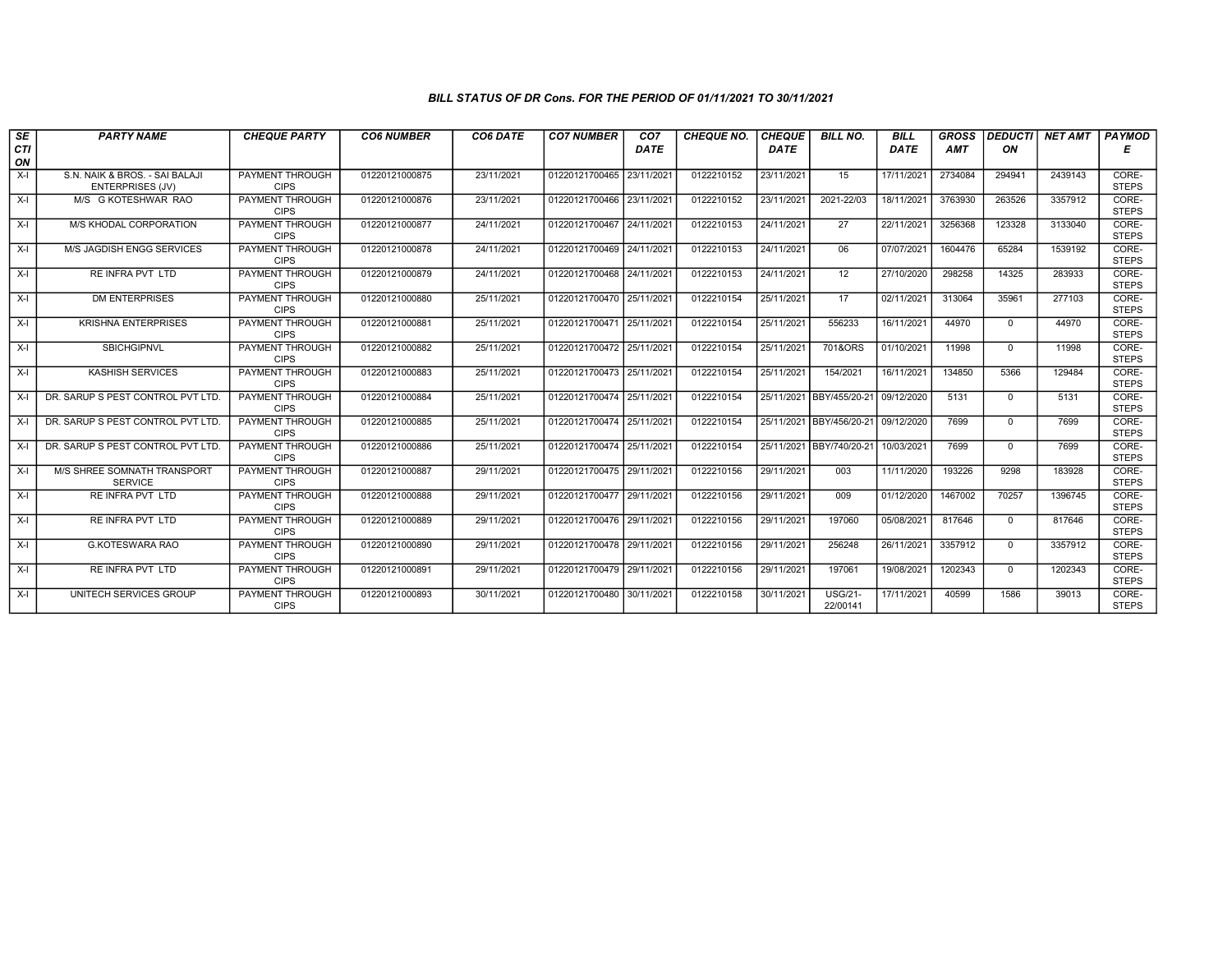| SE<br><b>CTI</b> | <b>PARTY NAME</b>                                         | <b>CHEQUE PARTY</b>                   | <b>CO6 NUMBER</b> | CO6 DATE   | <b>CO7 NUMBER</b>         | CO <sub>7</sub><br>DATE | <b>CHEQUE NO.</b> | <b>CHEQUE</b><br><b>DATE</b> | <b>BILL NO.</b>            | <b>BILL</b><br>DATE | <b>GROSS</b><br>AMT | <b>DEDUCTI</b><br>ON | <b>NET AMT</b> | <b>PAYMOD</b><br>Е    |
|------------------|-----------------------------------------------------------|---------------------------------------|-------------------|------------|---------------------------|-------------------------|-------------------|------------------------------|----------------------------|---------------------|---------------------|----------------------|----------------|-----------------------|
| ON               |                                                           |                                       |                   |            |                           |                         |                   |                              |                            |                     |                     |                      |                |                       |
| $X-I$            | S.N. NAIK & BROS. - SAI BALAJI<br><b>ENTERPRISES (JV)</b> | <b>PAYMENT THROUGH</b><br><b>CIPS</b> | 01220121000875    | 23/11/2021 | 01220121700465            | 23/11/2021              | 0122210152        | 23/11/2021                   | 15                         | 17/11/2021          | 2734084             | 294941               | 2439143        | CORE-<br><b>STEPS</b> |
| $X-I$            | M/S G KOTESHWAR RAO                                       | <b>PAYMENT THROUGH</b><br><b>CIPS</b> | 01220121000876    | 23/11/2021 | 01220121700466 23/11/2021 |                         | 0122210152        | 23/11/2021                   | 2021-22/03                 | 18/11/2021          | 3763930             | 263526               | 3357912        | CORE-<br><b>STEPS</b> |
| $X-I$            | M/S KHODAL CORPORATION                                    | PAYMENT THROUGH<br><b>CIPS</b>        | 01220121000877    | 24/11/2021 | 01220121700467 24/11/2021 |                         | 0122210153        | 24/11/2021                   | 27                         | 22/11/2021          | 3256368             | 123328               | 3133040        | CORE-<br><b>STEPS</b> |
| $X-I$            | M/S JAGDISH ENGG SERVICES                                 | PAYMENT THROUGH<br><b>CIPS</b>        | 01220121000878    | 24/11/2021 | 01220121700469 24/11/2021 |                         | 0122210153        | 24/11/2021                   | 06                         | 07/07/2021          | 1604476             | 65284                | 1539192        | CORE-<br><b>STEPS</b> |
| $X-I$            | <b>RE INFRA PVT LTD</b>                                   | <b>PAYMENT THROUGH</b><br><b>CIPS</b> | 01220121000879    | 24/11/2021 | 01220121700468 24/11/2021 |                         | 0122210153        | 24/11/2021                   | 12                         | 27/10/2020          | 298258              | 14325                | 283933         | CORE-<br><b>STEPS</b> |
| X-I              | <b>DM ENTERPRISES</b>                                     | <b>PAYMENT THROUGH</b><br><b>CIPS</b> | 01220121000880    | 25/11/2021 | 01220121700470 25/11/2021 |                         | 0122210154        | 25/11/2021                   | 17                         | 02/11/2021          | 313064              | 35961                | 277103         | CORE-<br><b>STEPS</b> |
| $X-I$            | <b>KRISHNA ENTERPRISES</b>                                | PAYMENT THROUGH<br><b>CIPS</b>        | 01220121000881    | 25/11/2021 | 01220121700471 25/11/2021 |                         | 0122210154        | 25/11/2021                   | 556233                     | 16/11/2021          | 44970               | $\Omega$             | 44970          | CORE-<br><b>STEPS</b> |
| $X-I$            | <b>SBICHGIPNVL</b>                                        | <b>PAYMENT THROUGH</b><br><b>CIPS</b> | 01220121000882    | 25/11/2021 | 01220121700472 25/11/2021 |                         | 0122210154        | 25/11/2021                   | 701&ORS                    | 01/10/2021          | 11998               | $\Omega$             | 11998          | CORE-<br><b>STEPS</b> |
| $X-I$            | <b>KASHISH SERVICES</b>                                   | <b>PAYMENT THROUGH</b><br><b>CIPS</b> | 01220121000883    | 25/11/2021 | 01220121700473 25/11/2021 |                         | 0122210154        | 25/11/2021                   | 154/2021                   | 16/11/2021          | 134850              | 5366                 | 129484         | CORE-<br><b>STEPS</b> |
| $X-I$            | DR. SARUP S PEST CONTROL PVT LTD.                         | <b>PAYMENT THROUGH</b><br><b>CIPS</b> | 01220121000884    | 25/11/2021 | 01220121700474 25/11/2021 |                         | 0122210154        |                              | 25/11/2021 BBY/455/20-21   | 09/12/2020          | 5131                | $\Omega$             | 5131           | CORE-<br><b>STEPS</b> |
| $X-I$            | DR. SARUP S PEST CONTROL PVT LTD.                         | PAYMENT THROUGH<br><b>CIPS</b>        | 01220121000885    | 25/11/2021 | 01220121700474 25/11/2021 |                         | 0122210154        |                              | 25/11/2021 BBY/456/20-21   | 09/12/2020          | 7699                | $\Omega$             | 7699           | CORE-<br><b>STEPS</b> |
| $X-I$            | DR. SARUP S PEST CONTROL PVT LTD.                         | PAYMENT THROUGH<br><b>CIPS</b>        | 01220121000886    | 25/11/2021 | 01220121700474 25/11/2021 |                         | 0122210154        |                              | 25/11/2021 BBY/740/20-21   | 10/03/2021          | 7699                | $\Omega$             | 7699           | CORE-<br><b>STEPS</b> |
| $X-I$            | M/S SHREE SOMNATH TRANSPORT<br><b>SERVICE</b>             | <b>PAYMENT THROUGH</b><br><b>CIPS</b> | 01220121000887    | 29/11/2021 | 01220121700475 29/11/2021 |                         | 0122210156        | 29/11/2021                   | 003                        | 11/11/2020          | 193226              | 9298                 | 183928         | CORE-<br><b>STEPS</b> |
| $X-I$            | RE INFRA PVT LTD                                          | <b>PAYMENT THROUGH</b><br><b>CIPS</b> | 01220121000888    | 29/11/2021 | 01220121700477 29/11/2021 |                         | 0122210156        | 29/11/2021                   | 009                        | 01/12/2020          | 1467002             | 70257                | 1396745        | CORE-<br><b>STEPS</b> |
| $X-I$            | RE INFRA PVT LTD                                          | PAYMENT THROUGH<br><b>CIPS</b>        | 01220121000889    | 29/11/2021 | 01220121700476 29/11/2021 |                         | 0122210156        | 29/11/2021                   | 197060                     | 05/08/2021          | 817646              | $\Omega$             | 817646         | CORE-<br><b>STEPS</b> |
| $X-I$            | G.KOTESWARA RAO                                           | PAYMENT THROUGH<br><b>CIPS</b>        | 01220121000890    | 29/11/2021 | 01220121700478 29/11/2021 |                         | 0122210156        | 29/11/2021                   | 256248                     | 26/11/2021          | 3357912             | $\Omega$             | 3357912        | CORE-<br><b>STEPS</b> |
| $X-I$            | RE INFRA PVT LTD                                          | PAYMENT THROUGH<br><b>CIPS</b>        | 01220121000891    | 29/11/2021 | 01220121700479 29/11/2021 |                         | 0122210156        | 29/11/2021                   | 197061                     | 19/08/2021          | 1202343             | $\Omega$             | 1202343        | CORE-<br><b>STEPS</b> |
| $X-I$            | UNITECH SERVICES GROUP                                    | PAYMENT THROUGH<br><b>CIPS</b>        | 01220121000893    | 30/11/2021 | 01220121700480 30/11/2021 |                         | 0122210158        | 30/11/2021                   | <b>USG/21-</b><br>22/00141 | 17/11/2021          | 40599               | 1586                 | 39013          | CORE-<br><b>STEPS</b> |